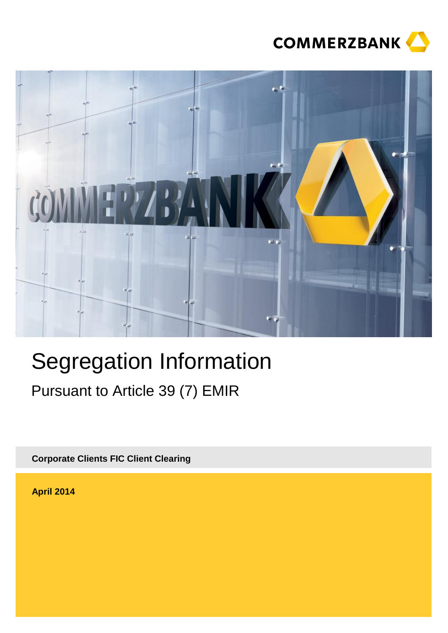



# Segregation Information

Pursuant to Article 39 (7) EMIR

**Corporate Clients FIC Client Clearing**

**April 2014**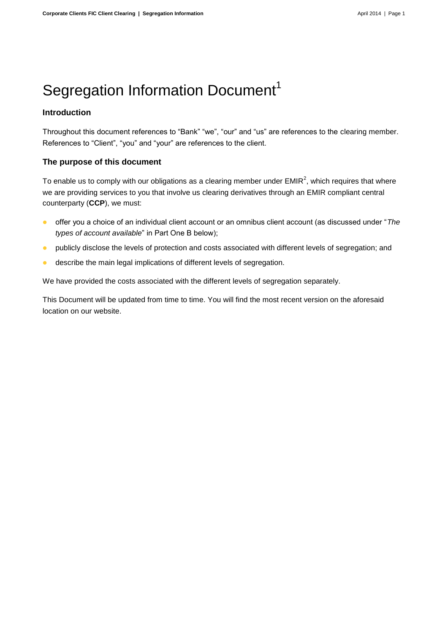# Segregation Information Document<sup>1</sup>

#### **Introduction**

Throughout this document references to "Bank" "we", "our" and "us" are references to the clearing member. References to "Client", "you" and "your" are references to the client.

#### **The purpose of this document**

To enable us to comply with our obligations as a clearing member under EMIR<sup>2</sup>, which requires that where we are providing services to you that involve us clearing derivatives through an EMIR compliant central counterparty (**CCP**), we must:

- offer you a choice of an individual client account or an omnibus client account (as discussed under "*The types of account available*" in Part One B below);
- **•** publicly disclose the levels of protection and costs associated with different levels of segregation; and
- describe the main legal implications of different levels of segregation.

We have provided the costs associated with the different levels of segregation separately.

This Document will be updated from time to time. You will find the most recent version on the aforesaid location on our website.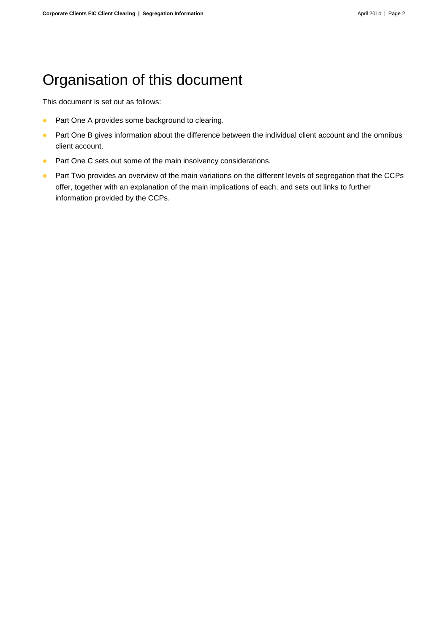# Organisation of this document

This document is set out as follows:

- Part One A provides some background to clearing.
- **Part One B gives information about the difference between the individual client account and the omnibus** client account.
- **Part One C sets out some of the main insolvency considerations.**
- **Part Two provides an overview of the main variations on the different levels of segregation that the CCPs** offer, together with an explanation of the main implications of each, and sets out links to further information provided by the CCPs.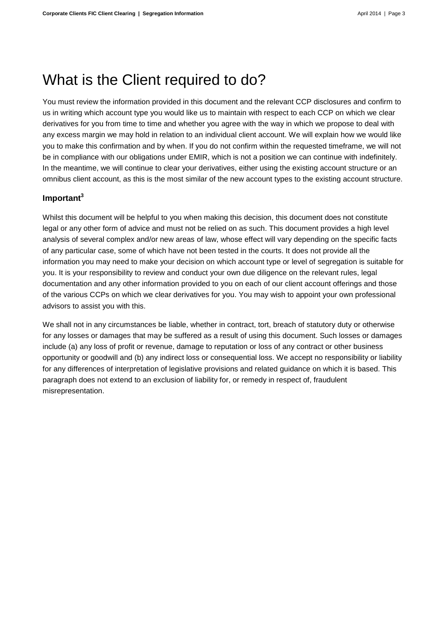# What is the Client required to do?

You must review the information provided in this document and the relevant CCP disclosures and confirm to us in writing which account type you would like us to maintain with respect to each CCP on which we clear derivatives for you from time to time and whether you agree with the way in which we propose to deal with any excess margin we may hold in relation to an individual client account. We will explain how we would like you to make this confirmation and by when. If you do not confirm within the requested timeframe, we will not be in compliance with our obligations under EMIR, which is not a position we can continue with indefinitely. In the meantime, we will continue to clear your derivatives, either using the existing account structure or an omnibus client account, as this is the most similar of the new account types to the existing account structure.

#### **Important<sup>3</sup>**

Whilst this document will be helpful to you when making this decision, this document does not constitute legal or any other form of advice and must not be relied on as such. This document provides a high level analysis of several complex and/or new areas of law, whose effect will vary depending on the specific facts of any particular case, some of which have not been tested in the courts. It does not provide all the information you may need to make your decision on which account type or level of segregation is suitable for you. It is your responsibility to review and conduct your own due diligence on the relevant rules, legal documentation and any other information provided to you on each of our client account offerings and those of the various CCPs on which we clear derivatives for you. You may wish to appoint your own professional advisors to assist you with this.

We shall not in any circumstances be liable, whether in contract, tort, breach of statutory duty or otherwise for any losses or damages that may be suffered as a result of using this document. Such losses or damages include (a) any loss of profit or revenue, damage to reputation or loss of any contract or other business opportunity or goodwill and (b) any indirect loss or consequential loss. We accept no responsibility or liability for any differences of interpretation of legislative provisions and related guidance on which it is based. This paragraph does not extend to an exclusion of liability for, or remedy in respect of, fraudulent misrepresentation.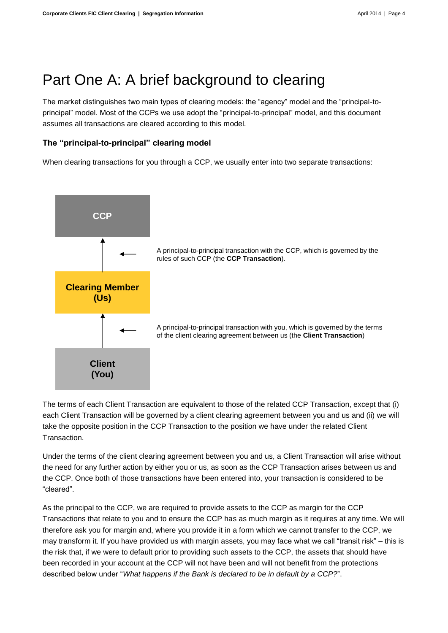# Part One A: A brief background to clearing

The market distinguishes two main types of clearing models: the "agency" model and the "principal-toprincipal" model. Most of the CCPs we use adopt the "principal-to-principal" model, and this document assumes all transactions are cleared according to this model.

# **The "principal-to-principal" clearing model**

When clearing transactions for you through a CCP, we usually enter into two separate transactions:

![](_page_4_Figure_6.jpeg)

The terms of each Client Transaction are equivalent to those of the related CCP Transaction, except that (i) each Client Transaction will be governed by a client clearing agreement between you and us and (ii) we will take the opposite position in the CCP Transaction to the position we have under the related Client Transaction.

Under the terms of the client clearing agreement between you and us, a Client Transaction will arise without the need for any further action by either you or us, as soon as the CCP Transaction arises between us and the CCP. Once both of those transactions have been entered into, your transaction is considered to be "cleared".

As the principal to the CCP, we are required to provide assets to the CCP as margin for the CCP Transactions that relate to you and to ensure the CCP has as much margin as it requires at any time. We will therefore ask you for margin and, where you provide it in a form which we cannot transfer to the CCP, we may transform it. If you have provided us with margin assets, you may face what we call "transit risk" – this is the risk that, if we were to default prior to providing such assets to the CCP, the assets that should have been recorded in your account at the CCP will not have been and will not benefit from the protections described below under "*What happens if the Bank is declared to be in default by a CCP?*".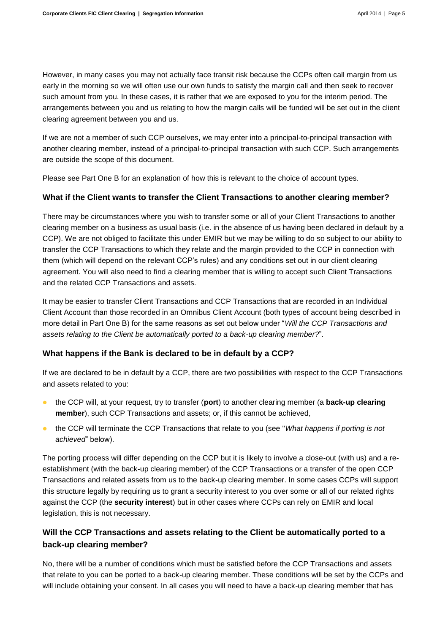However, in many cases you may not actually face transit risk because the CCPs often call margin from us early in the morning so we will often use our own funds to satisfy the margin call and then seek to recover such amount from you. In these cases, it is rather that we are exposed to you for the interim period. The arrangements between you and us relating to how the margin calls will be funded will be set out in the client clearing agreement between you and us.

If we are not a member of such CCP ourselves, we may enter into a principal-to-principal transaction with another clearing member, instead of a principal-to-principal transaction with such CCP. Such arrangements are outside the scope of this document.

Please see Part One B for an explanation of how this is relevant to the choice of account types.

#### **What if the Client wants to transfer the Client Transactions to another clearing member?**

There may be circumstances where you wish to transfer some or all of your Client Transactions to another clearing member on a business as usual basis (i.e. in the absence of us having been declared in default by a CCP). We are not obliged to facilitate this under EMIR but we may be willing to do so subject to our ability to transfer the CCP Transactions to which they relate and the margin provided to the CCP in connection with them (which will depend on the relevant CCP's rules) and any conditions set out in our client clearing agreement. You will also need to find a clearing member that is willing to accept such Client Transactions and the related CCP Transactions and assets.

It may be easier to transfer Client Transactions and CCP Transactions that are recorded in an Individual Client Account than those recorded in an Omnibus Client Account (both types of account being described in more detail in Part One B) for the same reasons as set out below under "*Will the CCP Transactions and assets relating to the Client be automatically ported to a back-up clearing member?*".

#### **What happens if the Bank is declared to be in default by a CCP?**

If we are declared to be in default by a CCP, there are two possibilities with respect to the CCP Transactions and assets related to you:

- the CCP will, at your request, try to transfer (**port**) to another clearing member (a **back-up clearing member**), such CCP Transactions and assets; or, if this cannot be achieved,
- the CCP will terminate the CCP Transactions that relate to you (see "*What happens if porting is not achieved*" below).

The porting process will differ depending on the CCP but it is likely to involve a close-out (with us) and a reestablishment (with the back-up clearing member) of the CCP Transactions or a transfer of the open CCP Transactions and related assets from us to the back-up clearing member. In some cases CCPs will support this structure legally by requiring us to grant a security interest to you over some or all of our related rights against the CCP (the **security interest**) but in other cases where CCPs can rely on EMIR and local legislation, this is not necessary.

# **Will the CCP Transactions and assets relating to the Client be automatically ported to a back-up clearing member?**

No, there will be a number of conditions which must be satisfied before the CCP Transactions and assets that relate to you can be ported to a back-up clearing member. These conditions will be set by the CCPs and will include obtaining your consent. In all cases you will need to have a back-up clearing member that has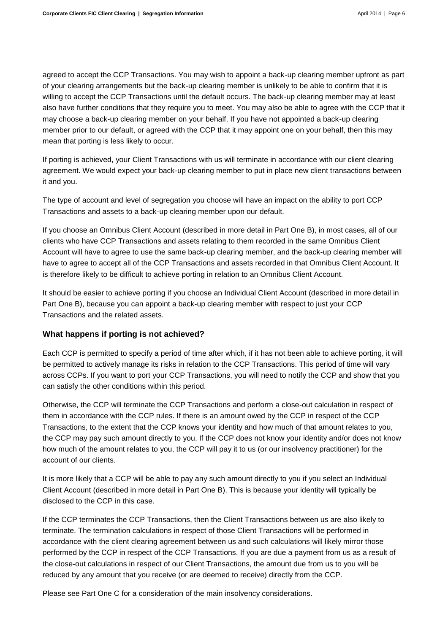agreed to accept the CCP Transactions. You may wish to appoint a back-up clearing member upfront as part of your clearing arrangements but the back-up clearing member is unlikely to be able to confirm that it is willing to accept the CCP Transactions until the default occurs. The back-up clearing member may at least also have further conditions that they require you to meet. You may also be able to agree with the CCP that it may choose a back-up clearing member on your behalf. If you have not appointed a back-up clearing member prior to our default, or agreed with the CCP that it may appoint one on your behalf, then this may mean that porting is less likely to occur.

If porting is achieved, your Client Transactions with us will terminate in accordance with our client clearing agreement. We would expect your back-up clearing member to put in place new client transactions between it and you.

The type of account and level of segregation you choose will have an impact on the ability to port CCP Transactions and assets to a back-up clearing member upon our default.

If you choose an Omnibus Client Account (described in more detail in Part One B), in most cases, all of our clients who have CCP Transactions and assets relating to them recorded in the same Omnibus Client Account will have to agree to use the same back-up clearing member, and the back-up clearing member will have to agree to accept all of the CCP Transactions and assets recorded in that Omnibus Client Account. It is therefore likely to be difficult to achieve porting in relation to an Omnibus Client Account.

It should be easier to achieve porting if you choose an Individual Client Account (described in more detail in Part One B), because you can appoint a back-up clearing member with respect to just your CCP Transactions and the related assets.

#### **What happens if porting is not achieved?**

Each CCP is permitted to specify a period of time after which, if it has not been able to achieve porting, it will be permitted to actively manage its risks in relation to the CCP Transactions. This period of time will vary across CCPs. If you want to port your CCP Transactions, you will need to notify the CCP and show that you can satisfy the other conditions within this period.

Otherwise, the CCP will terminate the CCP Transactions and perform a close-out calculation in respect of them in accordance with the CCP rules. If there is an amount owed by the CCP in respect of the CCP Transactions, to the extent that the CCP knows your identity and how much of that amount relates to you, the CCP may pay such amount directly to you. If the CCP does not know your identity and/or does not know how much of the amount relates to you, the CCP will pay it to us (or our insolvency practitioner) for the account of our clients.

It is more likely that a CCP will be able to pay any such amount directly to you if you select an Individual Client Account (described in more detail in Part One B). This is because your identity will typically be disclosed to the CCP in this case.

If the CCP terminates the CCP Transactions, then the Client Transactions between us are also likely to terminate. The termination calculations in respect of those Client Transactions will be performed in accordance with the client clearing agreement between us and such calculations will likely mirror those performed by the CCP in respect of the CCP Transactions. If you are due a payment from us as a result of the close-out calculations in respect of our Client Transactions, the amount due from us to you will be reduced by any amount that you receive (or are deemed to receive) directly from the CCP.

Please see Part One C for a consideration of the main insolvency considerations.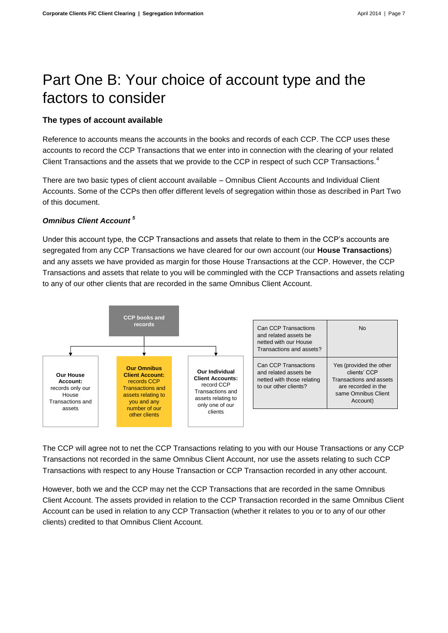# Part One B: Your choice of account type and the factors to consider

#### **The types of account available**

Reference to accounts means the accounts in the books and records of each CCP. The CCP uses these accounts to record the CCP Transactions that we enter into in connection with the clearing of your related Client Transactions and the assets that we provide to the CCP in respect of such CCP Transactions.<sup>4</sup>

There are two basic types of client account available – Omnibus Client Accounts and Individual Client Accounts. Some of the CCPs then offer different levels of segregation within those as described in Part Two of this document.

#### *Omnibus Client Account <sup>5</sup>*

Under this account type, the CCP Transactions and assets that relate to them in the CCP's accounts are segregated from any CCP Transactions we have cleared for our own account (our **House Transactions**) and any assets we have provided as margin for those House Transactions at the CCP. However, the CCP Transactions and assets that relate to you will be commingled with the CCP Transactions and assets relating to any of our other clients that are recorded in the same Omnibus Client Account.

![](_page_7_Figure_8.jpeg)

The CCP will agree not to net the CCP Transactions relating to you with our House Transactions or any CCP Transactions not recorded in the same Omnibus Client Account, nor use the assets relating to such CCP Transactions with respect to any House Transaction or CCP Transaction recorded in any other account.

However, both we and the CCP may net the CCP Transactions that are recorded in the same Omnibus Client Account. The assets provided in relation to the CCP Transaction recorded in the same Omnibus Client Account can be used in relation to any CCP Transaction (whether it relates to you or to any of our other clients) credited to that Omnibus Client Account.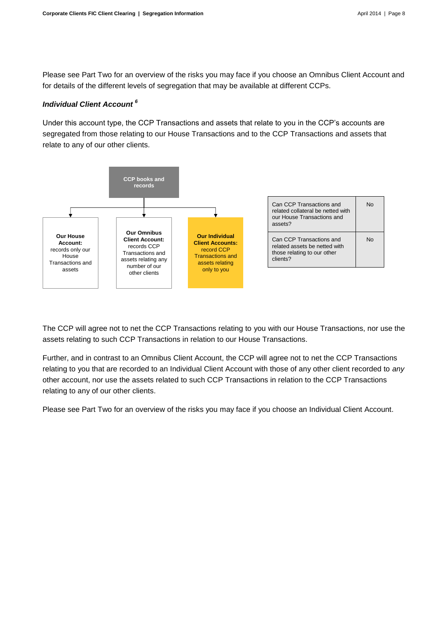Please see Part Two for an overview of the risks you may face if you choose an Omnibus Client Account and for details of the different levels of segregation that may be available at different CCPs.

# *Individual Client Account <sup>6</sup>*

Under this account type, the CCP Transactions and assets that relate to you in the CCP's accounts are segregated from those relating to our House Transactions and to the CCP Transactions and assets that relate to any of our other clients.

![](_page_8_Figure_5.jpeg)

The CCP will agree not to net the CCP Transactions relating to you with our House Transactions, nor use the assets relating to such CCP Transactions in relation to our House Transactions.

Further, and in contrast to an Omnibus Client Account, the CCP will agree not to net the CCP Transactions relating to you that are recorded to an Individual Client Account with those of any other client recorded to *any* other account, nor use the assets related to such CCP Transactions in relation to the CCP Transactions relating to any of our other clients.

Please see Part Two for an overview of the risks you may face if you choose an Individual Client Account.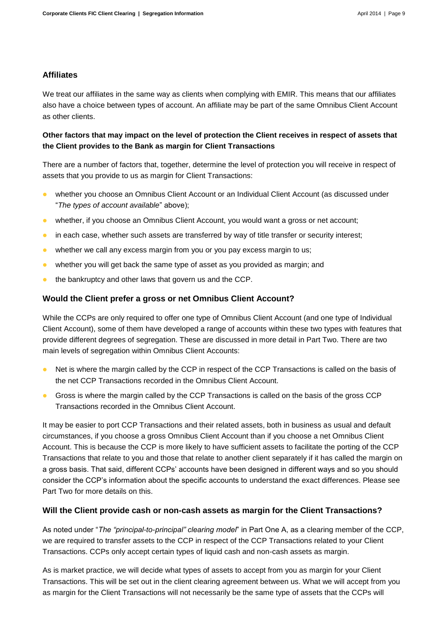### **Affiliates**

We treat our affiliates in the same way as clients when complying with EMIR. This means that our affiliates also have a choice between types of account. An affiliate may be part of the same Omnibus Client Account as other clients.

## **Other factors that may impact on the level of protection the Client receives in respect of assets that the Client provides to the Bank as margin for Client Transactions**

There are a number of factors that, together, determine the level of protection you will receive in respect of assets that you provide to us as margin for Client Transactions:

- whether you choose an Omnibus Client Account or an Individual Client Account (as discussed under "*The types of account available*" above);
- whether, if you choose an Omnibus Client Account, you would want a gross or net account;
- in each case, whether such assets are transferred by way of title transfer or security interest;
- whether we call any excess margin from you or you pay excess margin to us;
- whether you will get back the same type of asset as you provided as margin; and
- **•** the bankruptcy and other laws that govern us and the CCP.

## **Would the Client prefer a gross or net Omnibus Client Account?**

While the CCPs are only required to offer one type of Omnibus Client Account (and one type of Individual Client Account), some of them have developed a range of accounts within these two types with features that provide different degrees of segregation. These are discussed in more detail in Part Two. There are two main levels of segregation within Omnibus Client Accounts:

- Net is where the margin called by the CCP in respect of the CCP Transactions is called on the basis of the net CCP Transactions recorded in the Omnibus Client Account.
- Gross is where the margin called by the CCP Transactions is called on the basis of the gross CCP Transactions recorded in the Omnibus Client Account.

It may be easier to port CCP Transactions and their related assets, both in business as usual and default circumstances, if you choose a gross Omnibus Client Account than if you choose a net Omnibus Client Account. This is because the CCP is more likely to have sufficient assets to facilitate the porting of the CCP Transactions that relate to you and those that relate to another client separately if it has called the margin on a gross basis. That said, different CCPs' accounts have been designed in different ways and so you should consider the CCP's information about the specific accounts to understand the exact differences. Please see Part Two for more details on this.

## **Will the Client provide cash or non-cash assets as margin for the Client Transactions?**

As noted under "*The "principal-to-principal" clearing model*" in Part One A, as a clearing member of the CCP, we are required to transfer assets to the CCP in respect of the CCP Transactions related to your Client Transactions. CCPs only accept certain types of liquid cash and non-cash assets as margin.

As is market practice, we will decide what types of assets to accept from you as margin for your Client Transactions. This will be set out in the client clearing agreement between us. What we will accept from you as margin for the Client Transactions will not necessarily be the same type of assets that the CCPs will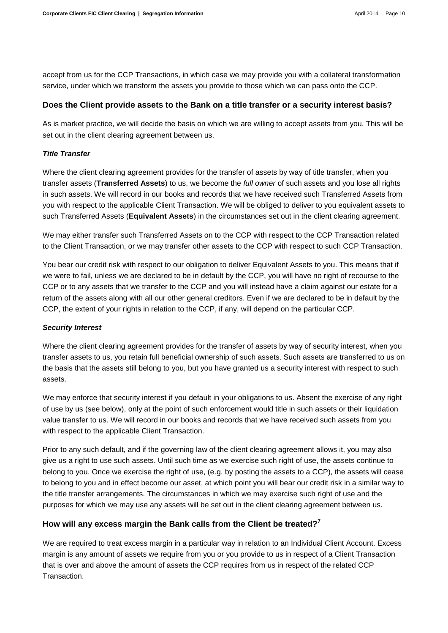accept from us for the CCP Transactions, in which case we may provide you with a collateral transformation service, under which we transform the assets you provide to those which we can pass onto the CCP.

### **Does the Client provide assets to the Bank on a title transfer or a security interest basis?**

As is market practice, we will decide the basis on which we are willing to accept assets from you. This will be set out in the client clearing agreement between us.

### *Title Transfer*

Where the client clearing agreement provides for the transfer of assets by way of title transfer, when you transfer assets (**Transferred Assets**) to us, we become the *full owner* of such assets and you lose all rights in such assets. We will record in our books and records that we have received such Transferred Assets from you with respect to the applicable Client Transaction. We will be obliged to deliver to you equivalent assets to such Transferred Assets (**Equivalent Assets**) in the circumstances set out in the client clearing agreement.

We may either transfer such Transferred Assets on to the CCP with respect to the CCP Transaction related to the Client Transaction, or we may transfer other assets to the CCP with respect to such CCP Transaction.

You bear our credit risk with respect to our obligation to deliver Equivalent Assets to you. This means that if we were to fail, unless we are declared to be in default by the CCP, you will have no right of recourse to the CCP or to any assets that we transfer to the CCP and you will instead have a claim against our estate for a return of the assets along with all our other general creditors. Even if we are declared to be in default by the CCP, the extent of your rights in relation to the CCP, if any, will depend on the particular CCP.

#### *Security Interest*

Where the client clearing agreement provides for the transfer of assets by way of security interest, when you transfer assets to us, you retain full beneficial ownership of such assets. Such assets are transferred to us on the basis that the assets still belong to you, but you have granted us a security interest with respect to such assets.

We may enforce that security interest if you default in your obligations to us. Absent the exercise of any right of use by us (see below), only at the point of such enforcement would title in such assets or their liquidation value transfer to us. We will record in our books and records that we have received such assets from you with respect to the applicable Client Transaction.

Prior to any such default, and if the governing law of the client clearing agreement allows it, you may also give us a right to use such assets. Until such time as we exercise such right of use, the assets continue to belong to you. Once we exercise the right of use, (e.g. by posting the assets to a CCP), the assets will cease to belong to you and in effect become our asset, at which point you will bear our credit risk in a similar way to the title transfer arrangements. The circumstances in which we may exercise such right of use and the purposes for which we may use any assets will be set out in the client clearing agreement between us.

### **How will any excess margin the Bank calls from the Client be treated?<sup>7</sup>**

We are required to treat excess margin in a particular way in relation to an Individual Client Account. Excess margin is any amount of assets we require from you or you provide to us in respect of a Client Transaction that is over and above the amount of assets the CCP requires from us in respect of the related CCP Transaction.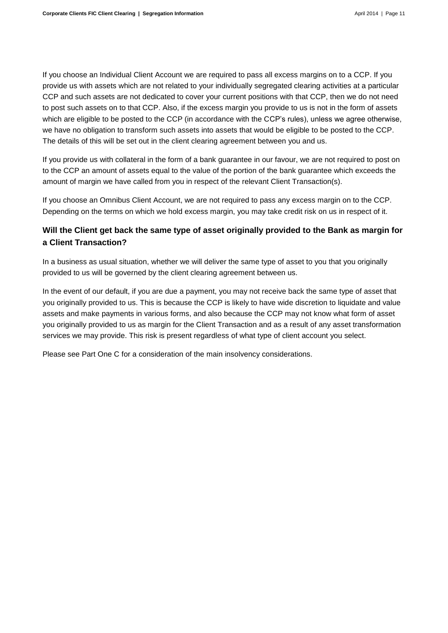If you choose an Individual Client Account we are required to pass all excess margins on to a CCP. If you provide us with assets which are not related to your individually segregated clearing activities at a particular CCP and such assets are not dedicated to cover your current positions with that CCP, then we do not need to post such assets on to that CCP. Also, if the excess margin you provide to us is not in the form of assets which are eligible to be posted to the CCP (in accordance with the CCP's rules), unless we agree otherwise, we have no obligation to transform such assets into assets that would be eligible to be posted to the CCP. The details of this will be set out in the client clearing agreement between you and us.

If you provide us with collateral in the form of a bank guarantee in our favour, we are not required to post on to the CCP an amount of assets equal to the value of the portion of the bank guarantee which exceeds the amount of margin we have called from you in respect of the relevant Client Transaction(s).

If you choose an Omnibus Client Account, we are not required to pass any excess margin on to the CCP. Depending on the terms on which we hold excess margin, you may take credit risk on us in respect of it.

### **Will the Client get back the same type of asset originally provided to the Bank as margin for a Client Transaction?**

In a business as usual situation, whether we will deliver the same type of asset to you that you originally provided to us will be governed by the client clearing agreement between us.

In the event of our default, if you are due a payment, you may not receive back the same type of asset that you originally provided to us. This is because the CCP is likely to have wide discretion to liquidate and value assets and make payments in various forms, and also because the CCP may not know what form of asset you originally provided to us as margin for the Client Transaction and as a result of any asset transformation services we may provide. This risk is present regardless of what type of client account you select.

Please see Part One C for a consideration of the main insolvency considerations.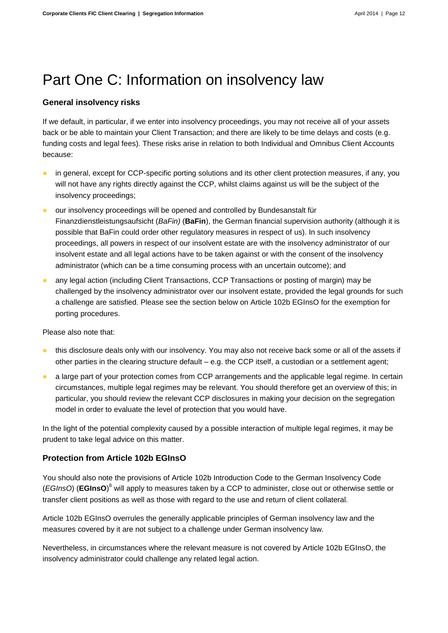# Part One C: Information on insolvency law

#### **General insolvency risks**

If we default, in particular, if we enter into insolvency proceedings, you may not receive all of your assets back or be able to maintain your Client Transaction; and there are likely to be time delays and costs (e.g. funding costs and legal fees). These risks arise in relation to both Individual and Omnibus Client Accounts because:

- in general, except for CCP-specific porting solutions and its other client protection measures, if any, you will not have any rights directly against the CCP, whilst claims against us will be the subject of the insolvency proceedings;
- our insolvency proceedings will be opened and controlled by Bundesanstalt für Finanzdienstleistungsaufsicht (*BaFin)* (**BaFin**), the German financial supervision authority (although it is possible that BaFin could order other regulatory measures in respect of us). In such insolvency proceedings, all powers in respect of our insolvent estate are with the insolvency administrator of our insolvent estate and all legal actions have to be taken against or with the consent of the insolvency administrator (which can be a time consuming process with an uncertain outcome); and
- any legal action (including Client Transactions, CCP Transactions or posting of margin) may be challenged by the insolvency administrator over our insolvent estate, provided the legal grounds for such a challenge are satisfied. Please see the section below on Article 102b EGInsO for the exemption for porting procedures.

Please also note that:

- **this disclosure deals only with our insolvency. You may also not receive back some or all of the assets if** other parties in the clearing structure default – e.g. the CCP itself, a custodian or a settlement agent;
- a large part of your protection comes from CCP arrangements and the applicable legal regime. In certain circumstances, multiple legal regimes may be relevant. You should therefore get an overview of this; in particular, you should review the relevant CCP disclosures in making your decision on the segregation model in order to evaluate the level of protection that you would have.

In the light of the potential complexity caused by a possible interaction of multiple legal regimes, it may be prudent to take legal advice on this matter.

#### **Protection from Article 102b EGInsO**

You should also note the provisions of Article 102b Introduction Code to the German Insolvency Code (*EGInsO*) (**EGInsO**) <sup>8</sup> will apply to measures taken by a CCP to administer, close out or otherwise settle or transfer client positions as well as those with regard to the use and return of client collateral.

Article 102b EGInsO overrules the generally applicable principles of German insolvency law and the measures covered by it are not subject to a challenge under German insolvency law.

Nevertheless, in circumstances where the relevant measure is not covered by Article 102b EGInsO, the insolvency administrator could challenge any related legal action.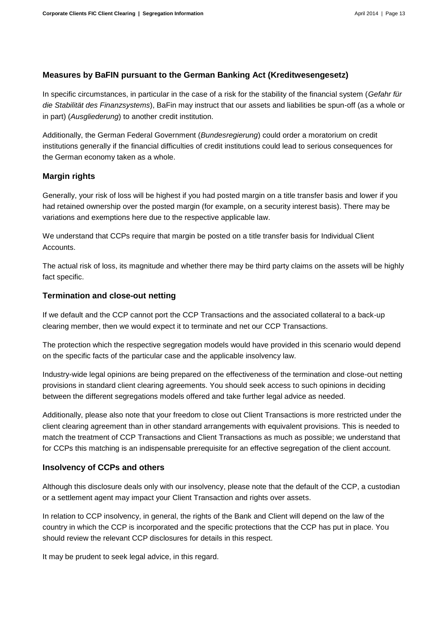# **Measures by BaFIN pursuant to the German Banking Act (Kreditwesengesetz)**

In specific circumstances, in particular in the case of a risk for the stability of the financial system (*Gefahr für die Stabilität des Finanzsystems*), BaFin may instruct that our assets and liabilities be spun-off (as a whole or in part) (*Ausgliederung*) to another credit institution.

Additionally, the German Federal Government (*Bundesregierung*) could order a moratorium on credit institutions generally if the financial difficulties of credit institutions could lead to serious consequences for the German economy taken as a whole.

# **Margin rights**

Generally, your risk of loss will be highest if you had posted margin on a title transfer basis and lower if you had retained ownership over the posted margin (for example, on a security interest basis). There may be variations and exemptions here due to the respective applicable law.

We understand that CCPs require that margin be posted on a title transfer basis for Individual Client Accounts.

The actual risk of loss, its magnitude and whether there may be third party claims on the assets will be highly fact specific.

# **Termination and close-out netting**

If we default and the CCP cannot port the CCP Transactions and the associated collateral to a back-up clearing member, then we would expect it to terminate and net our CCP Transactions.

The protection which the respective segregation models would have provided in this scenario would depend on the specific facts of the particular case and the applicable insolvency law.

Industry-wide legal opinions are being prepared on the effectiveness of the termination and close-out netting provisions in standard client clearing agreements. You should seek access to such opinions in deciding between the different segregations models offered and take further legal advice as needed.

Additionally, please also note that your freedom to close out Client Transactions is more restricted under the client clearing agreement than in other standard arrangements with equivalent provisions. This is needed to match the treatment of CCP Transactions and Client Transactions as much as possible; we understand that for CCPs this matching is an indispensable prerequisite for an effective segregation of the client account.

## **Insolvency of CCPs and others**

Although this disclosure deals only with our insolvency, please note that the default of the CCP, a custodian or a settlement agent may impact your Client Transaction and rights over assets.

In relation to CCP insolvency, in general, the rights of the Bank and Client will depend on the law of the country in which the CCP is incorporated and the specific protections that the CCP has put in place. You should review the relevant CCP disclosures for details in this respect.

It may be prudent to seek legal advice, in this regard.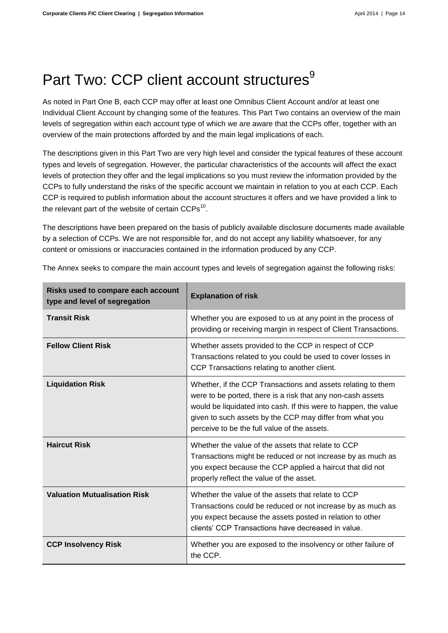# Part Two: CCP client account structures<sup>9</sup>

As noted in Part One B, each CCP may offer at least one Omnibus Client Account and/or at least one Individual Client Account by changing some of the features. This Part Two contains an overview of the main levels of segregation within each account type of which we are aware that the CCPs offer, together with an overview of the main protections afforded by and the main legal implications of each.

The descriptions given in this Part Two are very high level and consider the typical features of these account types and levels of segregation. However, the particular characteristics of the accounts will affect the exact levels of protection they offer and the legal implications so you must review the information provided by the CCPs to fully understand the risks of the specific account we maintain in relation to you at each CCP. Each CCP is required to publish information about the account structures it offers and we have provided a link to the relevant part of the website of certain CCPs<sup>10</sup>.

The descriptions have been prepared on the basis of publicly available disclosure documents made available by a selection of CCPs. We are not responsible for, and do not accept any liability whatsoever, for any content or omissions or inaccuracies contained in the information produced by any CCP.

| Risks used to compare each account<br>type and level of segregation | <b>Explanation of risk</b>                                                                                                                                                                                                                                                                                  |  |
|---------------------------------------------------------------------|-------------------------------------------------------------------------------------------------------------------------------------------------------------------------------------------------------------------------------------------------------------------------------------------------------------|--|
| <b>Transit Risk</b>                                                 | Whether you are exposed to us at any point in the process of<br>providing or receiving margin in respect of Client Transactions.                                                                                                                                                                            |  |
| <b>Fellow Client Risk</b>                                           | Whether assets provided to the CCP in respect of CCP<br>Transactions related to you could be used to cover losses in<br>CCP Transactions relating to another client.                                                                                                                                        |  |
| <b>Liquidation Risk</b>                                             | Whether, if the CCP Transactions and assets relating to them<br>were to be ported, there is a risk that any non-cash assets<br>would be liquidated into cash. If this were to happen, the value<br>given to such assets by the CCP may differ from what you<br>perceive to be the full value of the assets. |  |
| <b>Haircut Risk</b>                                                 | Whether the value of the assets that relate to CCP<br>Transactions might be reduced or not increase by as much as<br>you expect because the CCP applied a haircut that did not<br>properly reflect the value of the asset.                                                                                  |  |
| <b>Valuation Mutualisation Risk</b>                                 | Whether the value of the assets that relate to CCP<br>Transactions could be reduced or not increase by as much as<br>you expect because the assets posted in relation to other<br>clients' CCP Transactions have decreased in value.                                                                        |  |
| <b>CCP Insolvency Risk</b>                                          | Whether you are exposed to the insolvency or other failure of<br>the CCP.                                                                                                                                                                                                                                   |  |

The Annex seeks to compare the main account types and levels of segregation against the following risks: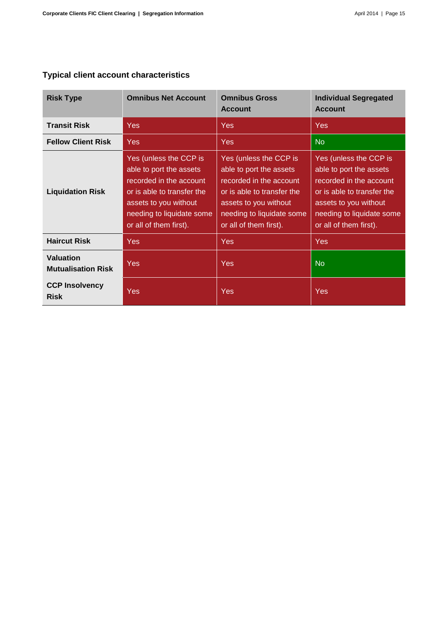# **Typical client account characteristics**

| <b>Risk Type</b>                              | <b>Omnibus Net Account</b>                                                                                                                                                                 | <b>Omnibus Gross</b><br><b>Account</b>                                                                                                                                                     | <b>Individual Segregated</b><br><b>Account</b>                                                                                                                                             |
|-----------------------------------------------|--------------------------------------------------------------------------------------------------------------------------------------------------------------------------------------------|--------------------------------------------------------------------------------------------------------------------------------------------------------------------------------------------|--------------------------------------------------------------------------------------------------------------------------------------------------------------------------------------------|
| <b>Transit Risk</b>                           | Yes                                                                                                                                                                                        | <b>Yes</b>                                                                                                                                                                                 | Yes                                                                                                                                                                                        |
| <b>Fellow Client Risk</b>                     | Yes                                                                                                                                                                                        | <b>Yes</b>                                                                                                                                                                                 | <b>No</b>                                                                                                                                                                                  |
| <b>Liquidation Risk</b>                       | Yes (unless the CCP is<br>able to port the assets<br>recorded in the account<br>or is able to transfer the<br>assets to you without<br>needing to liquidate some<br>or all of them first). | Yes (unless the CCP is<br>able to port the assets<br>recorded in the account<br>or is able to transfer the<br>assets to you without<br>needing to liquidate some<br>or all of them first). | Yes (unless the CCP is<br>able to port the assets<br>recorded in the account<br>or is able to transfer the<br>assets to you without<br>needing to liquidate some<br>or all of them first). |
| <b>Haircut Risk</b>                           | <b>Yes</b>                                                                                                                                                                                 | <b>Yes</b>                                                                                                                                                                                 | <b>Yes</b>                                                                                                                                                                                 |
| <b>Valuation</b><br><b>Mutualisation Risk</b> | Yes                                                                                                                                                                                        | <b>Yes</b>                                                                                                                                                                                 | <b>No</b>                                                                                                                                                                                  |
| <b>CCP Insolvency</b><br><b>Risk</b>          | Yes                                                                                                                                                                                        | <b>Yes</b>                                                                                                                                                                                 | Yes                                                                                                                                                                                        |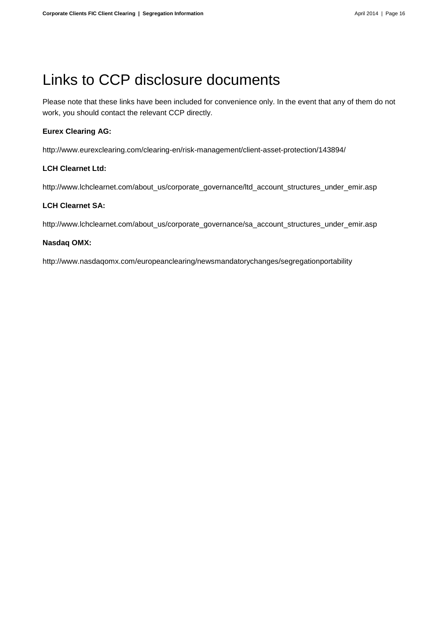# Links to CCP disclosure documents

Please note that these links have been included for convenience only. In the event that any of them do not work, you should contact the relevant CCP directly.

#### **Eurex Clearing AG:**

http://www.eurexclearing.com/clearing-en/risk-management/client-asset-protection/143894/

#### **LCH Clearnet Ltd:**

http://www.lchclearnet.com/about\_us/corporate\_governance/ltd\_account\_structures\_under\_emir.asp

#### **LCH Clearnet SA:**

http://www.lchclearnet.com/about\_us/corporate\_governance/sa\_account\_structures\_under\_emir.asp

#### **Nasdaq OMX:**

http://www.nasdaqomx.com/europeanclearing/newsmandatorychanges/segregationportability